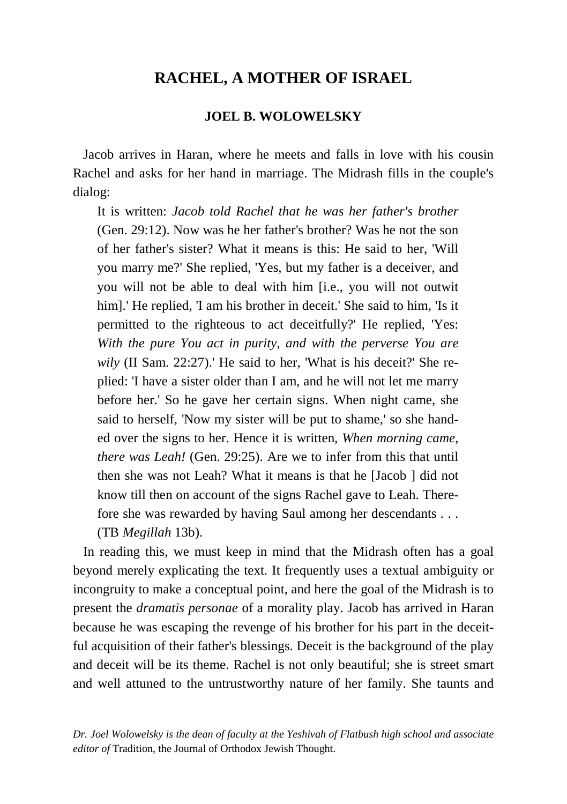## **RACHEL, A MOTHER OF ISRAEL**

## **JOEL B. WOLOWELSKY**

 Jacob arrives in Haran, where he meets and falls in love with his cousin Rachel and asks for her hand in marriage. The Midrash fills in the couple's dialog:

It is written: *Jacob told Rachel that he was her father's brother* (Gen. 29:12). Now was he her father's brother? Was he not the son of her father's sister? What it means is this: He said to her, 'Will you marry me?' She replied, 'Yes, but my father is a deceiver, and you will not be able to deal with him [i.e., you will not outwit him].' He replied, 'I am his brother in deceit.' She said to him, 'Is it permitted to the righteous to act deceitfully?' He replied, 'Yes: *With the pure You act in purity, and with the perverse You are wily* (II Sam. 22:27).' He said to her, 'What is his deceit?' She replied: 'I have a sister older than I am, and he will not let me marry before her.' So he gave her certain signs. When night came, she said to herself, 'Now my sister will be put to shame,' so she handed over the signs to her. Hence it is written, *When morning came, there was Leah!* (Gen. 29:25). Are we to infer from this that until then she was not Leah? What it means is that he [Jacob ] did not know till then on account of the signs Rachel gave to Leah. Therefore she was rewarded by having Saul among her descendants . . . (TB *Megillah* 13b).

 In reading this, we must keep in mind that the Midrash often has a goal beyond merely explicating the text. It frequently uses a textual ambiguity or incongruity to make a conceptual point, and here the goal of the Midrash is to present the *dramatis personae* of a morality play. Jacob has arrived in Haran because he was escaping the revenge of his brother for his part in the deceitful acquisition of their father's blessings. Deceit is the background of the play and deceit will be its theme. Rachel is not only beautiful; she is street smart and well attuned to the untrustworthy nature of her family. She taunts and

*Dr. Joel Wolowelsky is the dean of faculty at the Yeshivah of Flatbush high school and associate editor of* Tradition, the Journal of Orthodox Jewish Thought.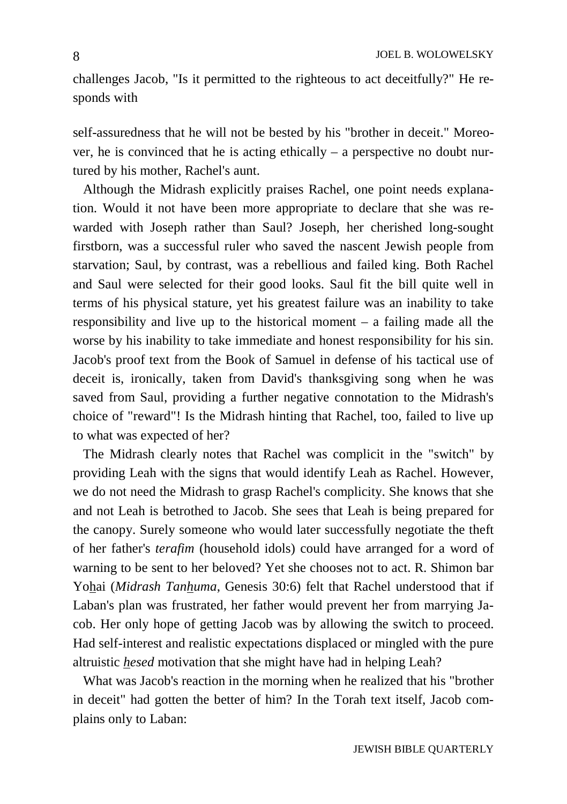challenges Jacob, "Is it permitted to the righteous to act deceitfully?" He responds with

8

self-assuredness that he will not be bested by his "brother in deceit." Moreover, he is convinced that he is acting ethically – a perspective no doubt nurtured by his mother, Rachel's aunt.

 Although the Midrash explicitly praises Rachel, one point needs explanation. Would it not have been more appropriate to declare that she was rewarded with Joseph rather than Saul? Joseph, her cherished long-sought firstborn, was a successful ruler who saved the nascent Jewish people from starvation; Saul, by contrast, was a rebellious and failed king. Both Rachel and Saul were selected for their good looks. Saul fit the bill quite well in terms of his physical stature, yet his greatest failure was an inability to take responsibility and live up to the historical moment – a failing made all the worse by his inability to take immediate and honest responsibility for his sin. Jacob's proof text from the Book of Samuel in defense of his tactical use of deceit is, ironically, taken from David's thanksgiving song when he was saved from Saul, providing a further negative connotation to the Midrash's choice of "reward"! Is the Midrash hinting that Rachel, too, failed to live up to what was expected of her?

 The Midrash clearly notes that Rachel was complicit in the "switch" by providing Leah with the signs that would identify Leah as Rachel. However, we do not need the Midrash to grasp Rachel's complicity. She knows that she and not Leah is betrothed to Jacob. She sees that Leah is being prepared for the canopy. Surely someone who would later successfully negotiate the theft of her father's *terafim* (household idols) could have arranged for a word of warning to be sent to her beloved? Yet she chooses not to act. R. Shimon bar Yohai (*Midrash Tanhuma*, Genesis 30:6) felt that Rachel understood that if Laban's plan was frustrated, her father would prevent her from marrying Jacob. Her only hope of getting Jacob was by allowing the switch to proceed. Had self-interest and realistic expectations displaced or mingled with the pure altruistic *hesed* motivation that she might have had in helping Leah?

 What was Jacob's reaction in the morning when he realized that his "brother in deceit" had gotten the better of him? In the Torah text itself, Jacob complains only to Laban: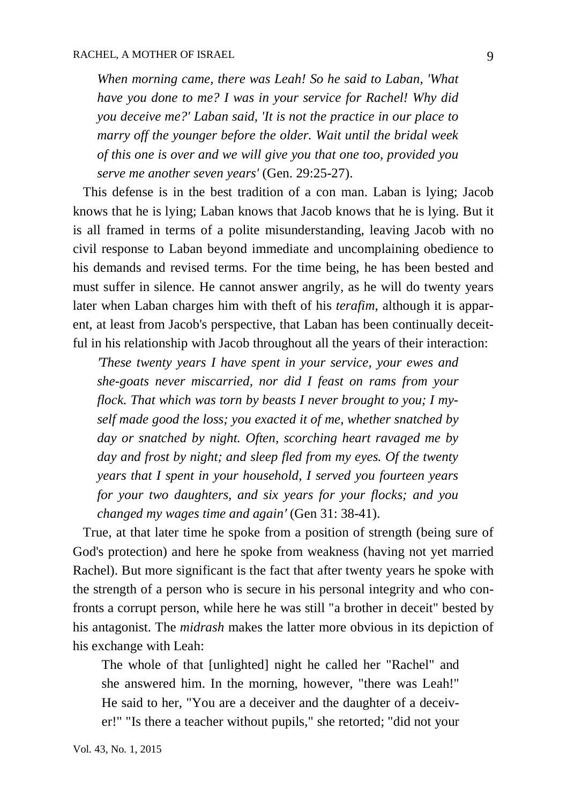*When morning came, there was Leah! So he said to Laban, 'What have you done to me? I was in your service for Rachel! Why did you deceive me?' Laban said, 'It is not the practice in our place to marry off the younger before the older. Wait until the bridal week of this one is over and we will give you that one too, provided you serve me another seven years'* (Gen. 29:25-27).

 This defense is in the best tradition of a con man. Laban is lying; Jacob knows that he is lying; Laban knows that Jacob knows that he is lying. But it is all framed in terms of a polite misunderstanding, leaving Jacob with no civil response to Laban beyond immediate and uncomplaining obedience to his demands and revised terms. For the time being, he has been bested and must suffer in silence. He cannot answer angrily, as he will do twenty years later when Laban charges him with theft of his *terafim*, although it is apparent, at least from Jacob's perspective, that Laban has been continually deceitful in his relationship with Jacob throughout all the years of their interaction:

*′These twenty years I have spent in your service, your ewes and she-goats never miscarried, nor did I feast on rams from your flock. That which was torn by beasts I never brought to you; I myself made good the loss; you exacted it of me, whether snatched by day or snatched by night. Often, scorching heart ravaged me by day and frost by night; and sleep fled from my eyes. Of the twenty years that I spent in your household, I served you fourteen years for your two daughters, and six years for your flocks; and you changed my wages time and again′* (Gen 31: 38-41).

 True, at that later time he spoke from a position of strength (being sure of God's protection) and here he spoke from weakness (having not yet married Rachel). But more significant is the fact that after twenty years he spoke with the strength of a person who is secure in his personal integrity and who confronts a corrupt person, while here he was still "a brother in deceit" bested by his antagonist. The *midrash* makes the latter more obvious in its depiction of his exchange with Leah:

The whole of that [unlighted] night he called her "Rachel" and she answered him. In the morning, however, "there was Leah!" He said to her, "You are a deceiver and the daughter of a deceiver!" "Is there a teacher without pupils," she retorted; "did not your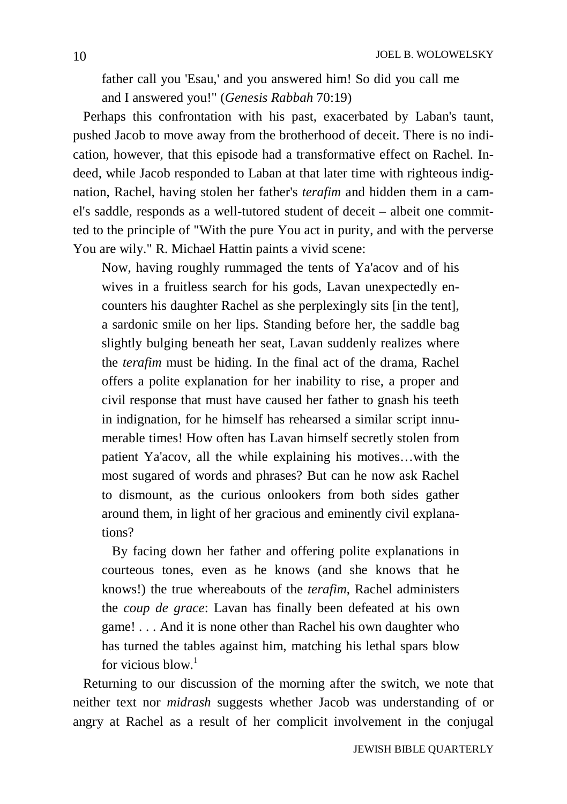father call you 'Esau,' and you answered him! So did you call me and I answered you!" (*Genesis Rabbah* 70:19)

 Perhaps this confrontation with his past, exacerbated by Laban's taunt, pushed Jacob to move away from the brotherhood of deceit. There is no indication, however, that this episode had a transformative effect on Rachel. Indeed, while Jacob responded to Laban at that later time with righteous indignation, Rachel, having stolen her father's *terafim* and hidden them in a camel's saddle, responds as a well-tutored student of deceit – albeit one committed to the principle of "With the pure You act in purity, and with the perverse You are wily." R. Michael Hattin paints a vivid scene:

Now, having roughly rummaged the tents of Ya'acov and of his wives in a fruitless search for his gods, Lavan unexpectedly encounters his daughter Rachel as she perplexingly sits [in the tent], a sardonic smile on her lips. Standing before her, the saddle bag slightly bulging beneath her seat, Lavan suddenly realizes where the *terafim* must be hiding. In the final act of the drama, Rachel offers a polite explanation for her inability to rise, a proper and civil response that must have caused her father to gnash his teeth in indignation, for he himself has rehearsed a similar script innumerable times! How often has Lavan himself secretly stolen from patient Ya'acov, all the while explaining his motives…with the most sugared of words and phrases? But can he now ask Rachel to dismount, as the curious onlookers from both sides gather around them, in light of her gracious and eminently civil explanations?

 By facing down her father and offering polite explanations in courteous tones, even as he knows (and she knows that he knows!) the true whereabouts of the *terafim*, Rachel administers the *coup de grace*: Lavan has finally been defeated at his own game! . . . And it is none other than Rachel his own daughter who has turned the tables against him, matching his lethal spars blow for vicious  $h \cdot \text{low}^1$ 

 Returning to our discussion of the morning after the switch, we note that neither text nor *midrash* suggests whether Jacob was understanding of or angry at Rachel as a result of her complicit involvement in the conjugal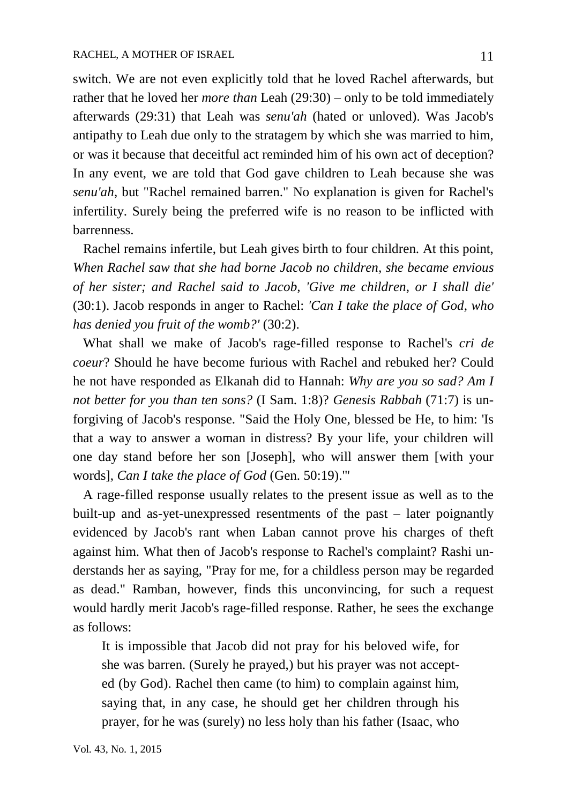switch. We are not even explicitly told that he loved Rachel afterwards, but rather that he loved her *more than* Leah (29:30) – only to be told immediately afterwards (29:31) that Leah was *senu'ah* (hated or unloved). Was Jacob's antipathy to Leah due only to the stratagem by which she was married to him, or was it because that deceitful act reminded him of his own act of deception? In any event, we are told that God gave children to Leah because she was *senu'ah*, but "Rachel remained barren." No explanation is given for Rachel's infertility. Surely being the preferred wife is no reason to be inflicted with barrenness.

 Rachel remains infertile, but Leah gives birth to four children. At this point, *When Rachel saw that she had borne Jacob no children, she became envious of her sister; and Rachel said to Jacob, 'Give me children, or I shall die'* (30:1). Jacob responds in anger to Rachel: *'Can I take the place of God, who has denied you fruit of the womb?'* (30:2).

 What shall we make of Jacob's rage-filled response to Rachel's *cri de coeur*? Should he have become furious with Rachel and rebuked her? Could he not have responded as Elkanah did to Hannah: *Why are you so sad? Am I not better for you than ten sons?* (I Sam. 1:8)? *Genesis Rabbah* (71:7) is unforgiving of Jacob's response. "Said the Holy One, blessed be He, to him: 'Is that a way to answer a woman in distress? By your life, your children will one day stand before her son [Joseph], who will answer them [with your words], *Can I take the place of God* (Gen. 50:19).'"

 A rage-filled response usually relates to the present issue as well as to the built-up and as-yet-unexpressed resentments of the past – later poignantly evidenced by Jacob's rant when Laban cannot prove his charges of theft against him. What then of Jacob's response to Rachel's complaint? Rashi understands her as saying, "Pray for me, for a childless person may be regarded as dead." Ramban, however, finds this unconvincing, for such a request would hardly merit Jacob's rage-filled response. Rather, he sees the exchange as follows:

It is impossible that Jacob did not pray for his beloved wife, for she was barren. (Surely he prayed,) but his prayer was not accepted (by God). Rachel then came (to him) to complain against him, saying that, in any case, he should get her children through his prayer, for he was (surely) no less holy than his father (Isaac, who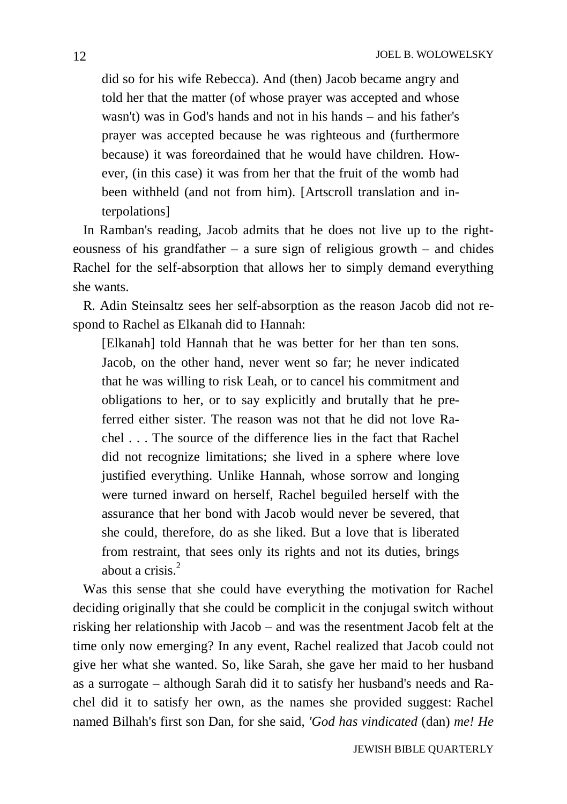did so for his wife Rebecca). And (then) Jacob became angry and told her that the matter (of whose prayer was accepted and whose wasn't) was in God's hands and not in his hands – and his father's prayer was accepted because he was righteous and (furthermore because) it was foreordained that he would have children. However, (in this case) it was from her that the fruit of the womb had been withheld (and not from him). [Artscroll translation and interpolations]

 In Ramban's reading, Jacob admits that he does not live up to the righteousness of his grandfather – a sure sign of religious growth – and chides Rachel for the self-absorption that allows her to simply demand everything she wants.

 R. Adin Steinsaltz sees her self-absorption as the reason Jacob did not respond to Rachel as Elkanah did to Hannah:

[Elkanah] told Hannah that he was better for her than ten sons. Jacob, on the other hand, never went so far; he never indicated that he was willing to risk Leah, or to cancel his commitment and obligations to her, or to say explicitly and brutally that he preferred either sister. The reason was not that he did not love Rachel . . . The source of the difference lies in the fact that Rachel did not recognize limitations; she lived in a sphere where love justified everything. Unlike Hannah, whose sorrow and longing were turned inward on herself, Rachel beguiled herself with the assurance that her bond with Jacob would never be severed, that she could, therefore, do as she liked. But a love that is liberated from restraint, that sees only its rights and not its duties, brings about a crisis.<sup>2</sup>

 Was this sense that she could have everything the motivation for Rachel deciding originally that she could be complicit in the conjugal switch without risking her relationship with Jacob – and was the resentment Jacob felt at the time only now emerging? In any event, Rachel realized that Jacob could not give her what she wanted. So, like Sarah, she gave her maid to her husband as a surrogate – although Sarah did it to satisfy her husband's needs and Rachel did it to satisfy her own, as the names she provided suggest: Rachel named Bilhah's first son Dan, for she said, *'God has vindicated* (dan) *me! He*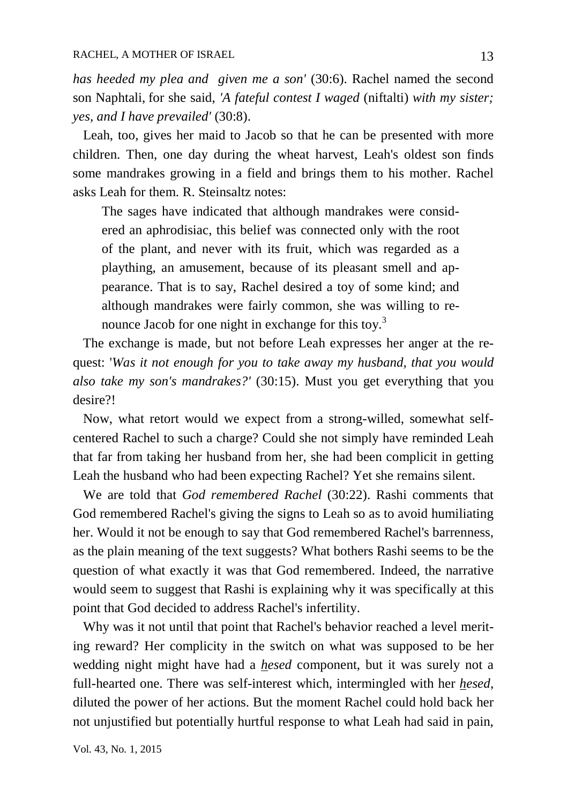*has heeded my plea and given me a son'* (30:6). Rachel named the second son Naphtali, for she said, *'A fateful contest I waged* (niftalti) *with my sister; yes, and I have prevailed'* (30:8).

 Leah, too, gives her maid to Jacob so that he can be presented with more children. Then, one day during the wheat harvest, Leah's oldest son finds some mandrakes growing in a field and brings them to his mother. Rachel asks Leah for them. R. Steinsaltz notes:

The sages have indicated that although mandrakes were considered an aphrodisiac, this belief was connected only with the root of the plant, and never with its fruit, which was regarded as a plaything, an amusement, because of its pleasant smell and appearance. That is to say, Rachel desired a toy of some kind; and although mandrakes were fairly common, she was willing to renounce Jacob for one night in exchange for this toy.<sup>3</sup>

 The exchange is made, but not before Leah expresses her anger at the request: '*Was it not enough for you to take away my husband, that you would also take my son's mandrakes?'* (30:15). Must you get everything that you desire?!

 Now, what retort would we expect from a strong-willed, somewhat selfcentered Rachel to such a charge? Could she not simply have reminded Leah that far from taking her husband from her, she had been complicit in getting Leah the husband who had been expecting Rachel? Yet she remains silent.

 We are told that *God remembered Rachel* (30:22). Rashi comments that God remembered Rachel's giving the signs to Leah so as to avoid humiliating her. Would it not be enough to say that God remembered Rachel's barrenness, as the plain meaning of the text suggests? What bothers Rashi seems to be the question of what exactly it was that God remembered. Indeed, the narrative would seem to suggest that Rashi is explaining why it was specifically at this point that God decided to address Rachel's infertility.

 Why was it not until that point that Rachel's behavior reached a level meriting reward? Her complicity in the switch on what was supposed to be her wedding night might have had a *hesed* component, but it was surely not a full-hearted one. There was self-interest which, intermingled with her *hesed*, diluted the power of her actions. But the moment Rachel could hold back her not unjustified but potentially hurtful response to what Leah had said in pain,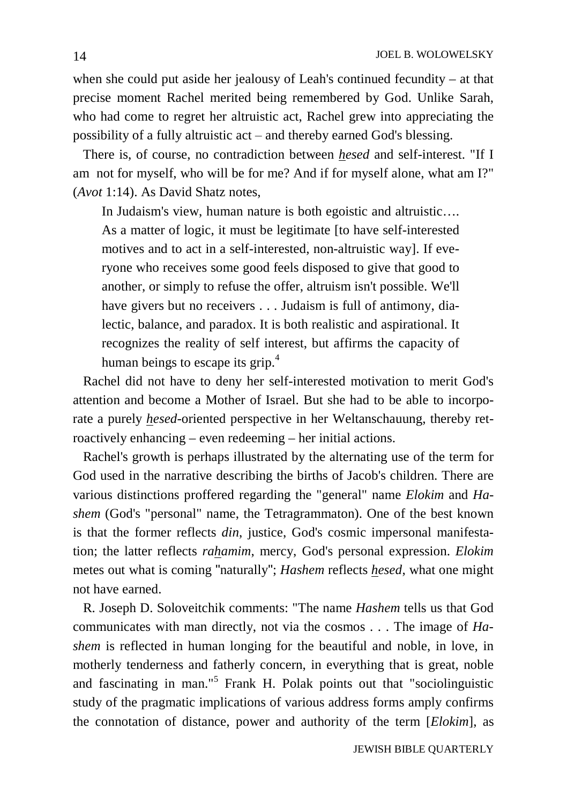when she could put aside her jealousy of Leah's continued fecundity – at that precise moment Rachel merited being remembered by God. Unlike Sarah, who had come to regret her altruistic act, Rachel grew into appreciating the possibility of a fully altruistic  $act$  – and thereby earned God's blessing.

 There is, of course, no contradiction between *hesed* and self-interest. "If I am not for myself, who will be for me? And if for myself alone, what am I?" (*Avot* 1:14). As David Shatz notes,

In Judaism's view, human nature is both egoistic and altruistic…. As a matter of logic, it must be legitimate [to have self-interested motives and to act in a self-interested, non-altruistic way]. If everyone who receives some good feels disposed to give that good to another, or simply to refuse the offer, altruism isn't possible. We'll have givers but no receivers . . . Judaism is full of antimony, dialectic, balance, and paradox. It is both realistic and aspirational. It recognizes the reality of self interest, but affirms the capacity of human beings to escape its grip.<sup>4</sup>

 Rachel did not have to deny her self-interested motivation to merit God's attention and become a Mother of Israel. But she had to be able to incorporate a purely *hesed*-oriented perspective in her Weltanschauung, thereby retroactively enhancing – even redeeming – her initial actions.

 Rachel's growth is perhaps illustrated by the alternating use of the term for God used in the narrative describing the births of Jacob's children. There are various distinctions proffered regarding the "general" name *Elokim* and *Hashem* (God's "personal" name, the Tetragrammaton). One of the best known is that the former reflects *din*, justice, God's cosmic impersonal manifestation; the latter reflects *rahamim*, mercy, God's personal expression. *Elokim* metes out what is coming "naturally"; *Hashem* reflects *hesed*, what one might not have earned.

 R. Joseph D. Soloveitchik comments: "The name *Hashem* tells us that God communicates with man directly, not via the cosmos . . . The image of *Hashem* is reflected in human longing for the beautiful and noble, in love, in motherly tenderness and fatherly concern, in everything that is great, noble and fascinating in man." <sup>5</sup> Frank H. Polak points out that "sociolinguistic study of the pragmatic implications of various address forms amply confirms the connotation of distance, power and authority of the term [*Elokim*], as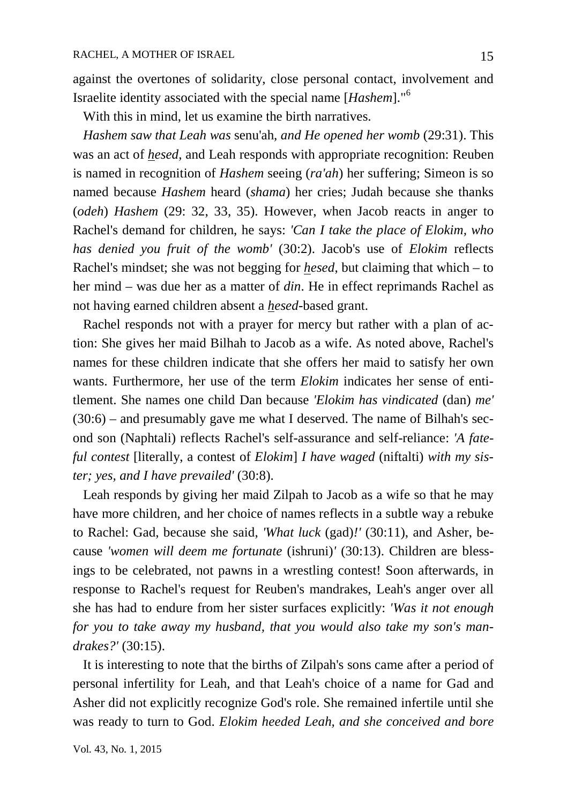against the overtones of solidarity, close personal contact, involvement and Israelite identity associated with the special name [*Hashem*]." 6

With this in mind, let us examine the birth narratives.

 *Hashem saw that Leah was* senu'ah*, and He opened her womb* (29:31). This was an act of *hesed*, and Leah responds with appropriate recognition: Reuben is named in recognition of *Hashem* seeing (*ra'ah*) her suffering; Simeon is so named because *Hashem* heard (*shama*) her cries; Judah because she thanks (*odeh*) *Hashem* (29: 32, 33, 35). However, when Jacob reacts in anger to Rachel's demand for children, he says: *'Can I take the place of Elokim, who has denied you fruit of the womb'* (30:2). Jacob's use of *Elokim* reflects Rachel's mindset; she was not begging for *hesed*, but claiming that which – to her mind – was due her as a matter of *din*. He in effect reprimands Rachel as not having earned children absent a *hesed*-based grant.

 Rachel responds not with a prayer for mercy but rather with a plan of action: She gives her maid Bilhah to Jacob as a wife. As noted above, Rachel's names for these children indicate that she offers her maid to satisfy her own wants. Furthermore, her use of the term *Elokim* indicates her sense of entitlement. She names one child Dan because *'Elokim has vindicated* (dan) *me'* (30:6) – and presumably gave me what I deserved. The name of Bilhah's second son (Naphtali) reflects Rachel's self-assurance and self-reliance: *'A fateful contest* [literally, a contest of *Elokim*] *I have waged* (niftalti) *with my sister; yes, and I have prevailed'* (30:8).

 Leah responds by giving her maid Zilpah to Jacob as a wife so that he may have more children, and her choice of names reflects in a subtle way a rebuke to Rachel: Gad, because she said, *'What luck* (gad)*!'* (30:11), and Asher, because *'women will deem me fortunate* (ishruni)*'* (30:13). Children are blessings to be celebrated, not pawns in a wrestling contest! Soon afterwards, in response to Rachel's request for Reuben's mandrakes, Leah's anger over all she has had to endure from her sister surfaces explicitly: *'Was it not enough for you to take away my husband, that you would also take my son's mandrakes?'* (30:15).

 It is interesting to note that the births of Zilpah's sons came after a period of personal infertility for Leah, and that Leah's choice of a name for Gad and Asher did not explicitly recognize God's role. She remained infertile until she was ready to turn to God. *Elokim heeded Leah, and she conceived and bore*